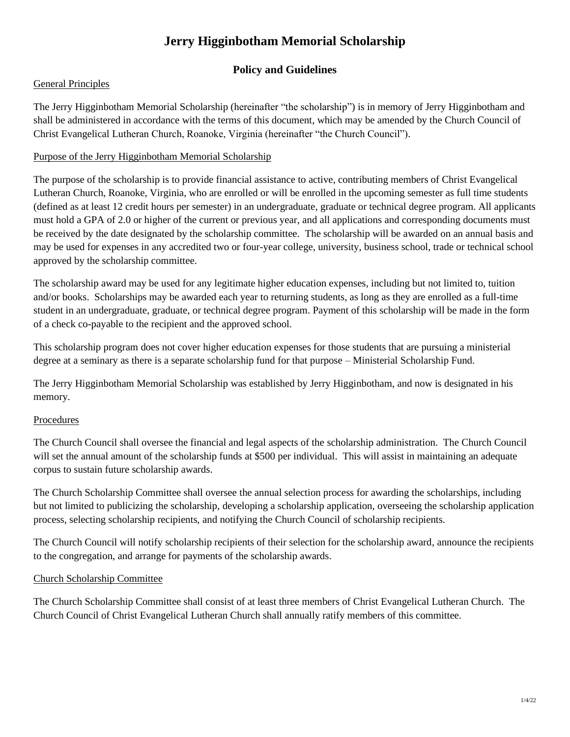# **Jerry Higginbotham Memorial Scholarship**

## **Policy and Guidelines**

### General Principles

The Jerry Higginbotham Memorial Scholarship (hereinafter "the scholarship") is in memory of Jerry Higginbotham and shall be administered in accordance with the terms of this document, which may be amended by the Church Council of Christ Evangelical Lutheran Church, Roanoke, Virginia (hereinafter "the Church Council").

### Purpose of the Jerry Higginbotham Memorial Scholarship

The purpose of the scholarship is to provide financial assistance to active, contributing members of Christ Evangelical Lutheran Church, Roanoke, Virginia, who are enrolled or will be enrolled in the upcoming semester as full time students (defined as at least 12 credit hours per semester) in an undergraduate, graduate or technical degree program. All applicants must hold a GPA of 2.0 or higher of the current or previous year, and all applications and corresponding documents must be received by the date designated by the scholarship committee. The scholarship will be awarded on an annual basis and may be used for expenses in any accredited two or four-year college, university, business school, trade or technical school approved by the scholarship committee.

The scholarship award may be used for any legitimate higher education expenses, including but not limited to, tuition and/or books. Scholarships may be awarded each year to returning students, as long as they are enrolled as a full-time student in an undergraduate, graduate, or technical degree program. Payment of this scholarship will be made in the form of a check co-payable to the recipient and the approved school.

This scholarship program does not cover higher education expenses for those students that are pursuing a ministerial degree at a seminary as there is a separate scholarship fund for that purpose – Ministerial Scholarship Fund.

The Jerry Higginbotham Memorial Scholarship was established by Jerry Higginbotham, and now is designated in his memory.

## Procedures

The Church Council shall oversee the financial and legal aspects of the scholarship administration. The Church Council will set the annual amount of the scholarship funds at \$500 per individual. This will assist in maintaining an adequate corpus to sustain future scholarship awards.

The Church Scholarship Committee shall oversee the annual selection process for awarding the scholarships, including but not limited to publicizing the scholarship, developing a scholarship application, overseeing the scholarship application process, selecting scholarship recipients, and notifying the Church Council of scholarship recipients.

The Church Council will notify scholarship recipients of their selection for the scholarship award, announce the recipients to the congregation, and arrange for payments of the scholarship awards.

### Church Scholarship Committee

The Church Scholarship Committee shall consist of at least three members of Christ Evangelical Lutheran Church. The Church Council of Christ Evangelical Lutheran Church shall annually ratify members of this committee.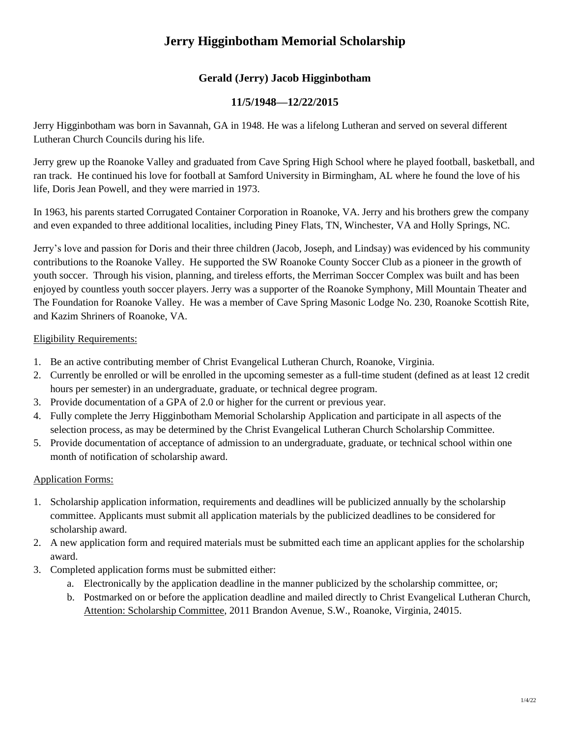# **Jerry Higginbotham Memorial Scholarship**

## **Gerald (Jerry) Jacob Higginbotham**

## **11/5/1948—12/22/2015**

Jerry Higginbotham was born in Savannah, GA in 1948. He was a lifelong Lutheran and served on several different Lutheran Church Councils during his life.

Jerry grew up the Roanoke Valley and graduated from Cave Spring High School where he played football, basketball, and ran track. He continued his love for football at Samford University in Birmingham, AL where he found the love of his life, Doris Jean Powell, and they were married in 1973.

In 1963, his parents started Corrugated Container Corporation in Roanoke, VA. Jerry and his brothers grew the company and even expanded to three additional localities, including Piney Flats, TN, Winchester, VA and Holly Springs, NC.

Jerry's love and passion for Doris and their three children (Jacob, Joseph, and Lindsay) was evidenced by his community contributions to the Roanoke Valley. He supported the SW Roanoke County Soccer Club as a pioneer in the growth of youth soccer. Through his vision, planning, and tireless efforts, the Merriman Soccer Complex was built and has been enjoyed by countless youth soccer players. Jerry was a supporter of the Roanoke Symphony, Mill Mountain Theater and The Foundation for Roanoke Valley. He was a member of Cave Spring Masonic Lodge No. 230, Roanoke Scottish Rite, and Kazim Shriners of Roanoke, VA.

#### Eligibility Requirements:

- 1. Be an active contributing member of Christ Evangelical Lutheran Church, Roanoke, Virginia.
- 2. Currently be enrolled or will be enrolled in the upcoming semester as a full-time student (defined as at least 12 credit hours per semester) in an undergraduate, graduate, or technical degree program.
- 3. Provide documentation of a GPA of 2.0 or higher for the current or previous year.
- 4. Fully complete the Jerry Higginbotham Memorial Scholarship Application and participate in all aspects of the selection process, as may be determined by the Christ Evangelical Lutheran Church Scholarship Committee.
- 5. Provide documentation of acceptance of admission to an undergraduate, graduate, or technical school within one month of notification of scholarship award.

### Application Forms:

- 1. Scholarship application information, requirements and deadlines will be publicized annually by the scholarship committee. Applicants must submit all application materials by the publicized deadlines to be considered for scholarship award.
- 2. A new application form and required materials must be submitted each time an applicant applies for the scholarship award.
- 3. Completed application forms must be submitted either:
	- a. Electronically by the application deadline in the manner publicized by the scholarship committee, or;
	- b. Postmarked on or before the application deadline and mailed directly to Christ Evangelical Lutheran Church, Attention: Scholarship Committee, 2011 Brandon Avenue, S.W., Roanoke, Virginia, 24015.